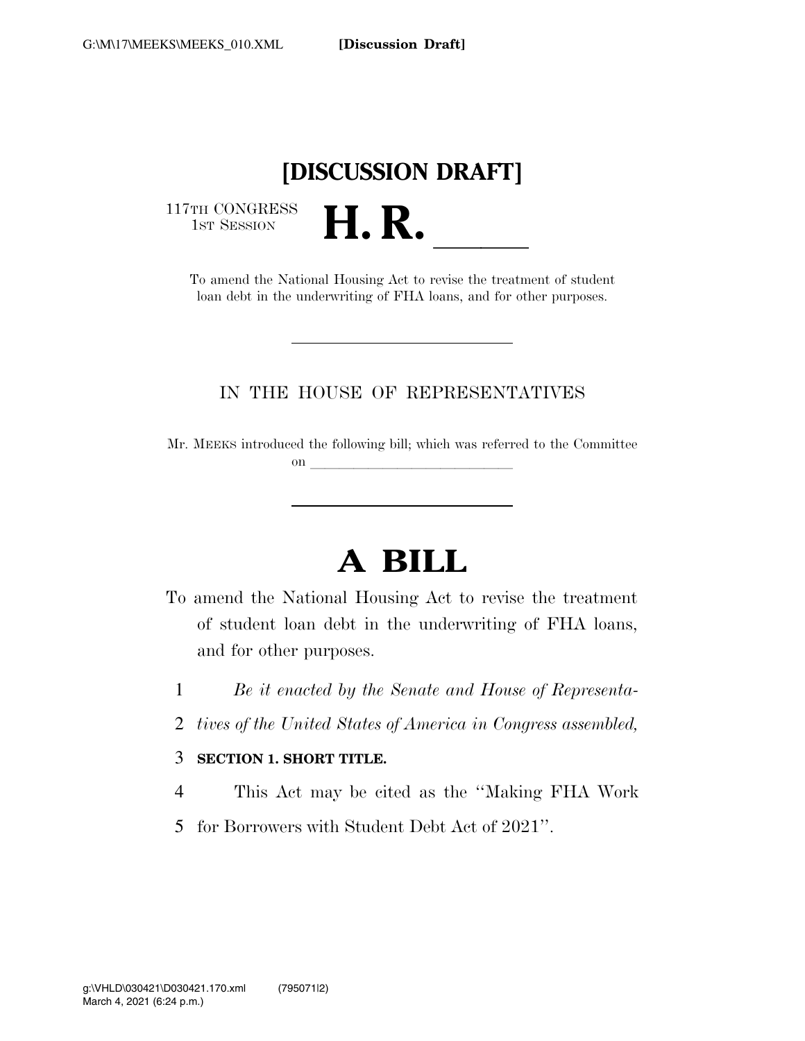## **[DISCUSSION DRAFT]**

117TH CONGRESS<br>1st Session

TH CONGRESS<br>1st SESSION<br>To amend the National Housing Act to revise the treatment of student loan debt in the underwriting of FHA loans, and for other purposes.

#### IN THE HOUSE OF REPRESENTATIVES

Mr. MEEKS introduced the following bill; which was referred to the Committee on  $\overline{\qquad \qquad }$ 

# **A BILL**

- To amend the National Housing Act to revise the treatment of student loan debt in the underwriting of FHA loans, and for other purposes.
	- 1 *Be it enacted by the Senate and House of Representa-*
	- 2 *tives of the United States of America in Congress assembled,*

#### 3 **SECTION 1. SHORT TITLE.**

- 4 This Act may be cited as the ''Making FHA Work
- 5 for Borrowers with Student Debt Act of 2021''.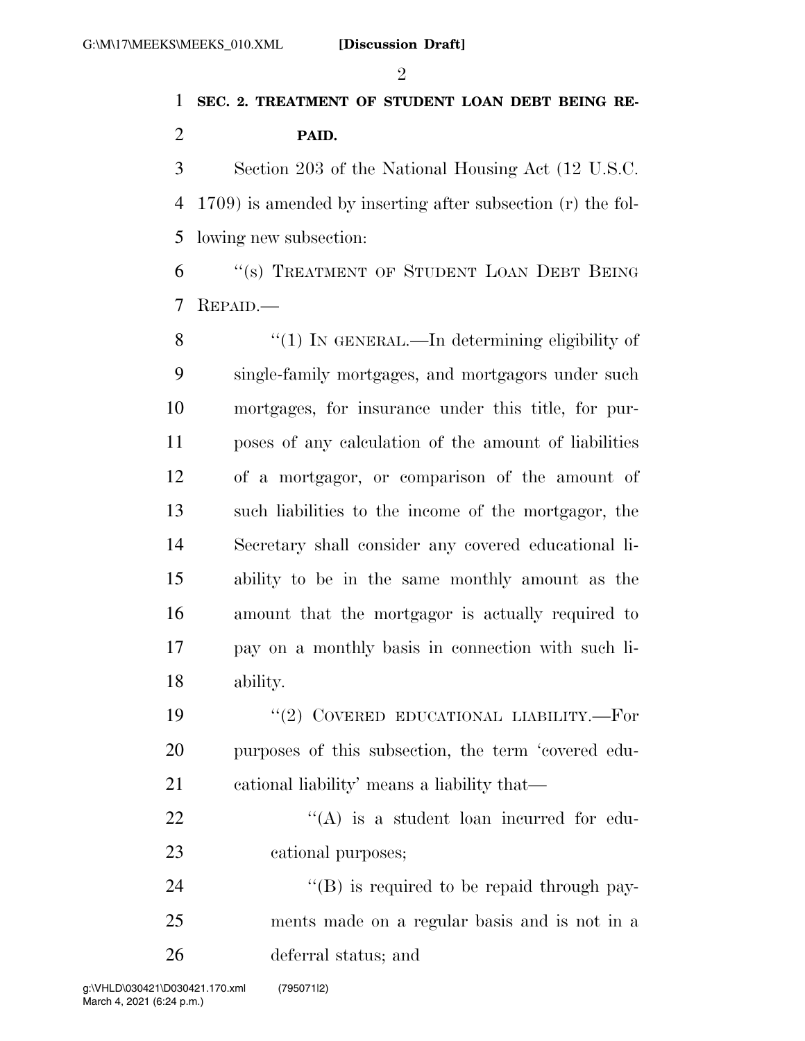#### $\mathfrak{D}$

### **SEC. 2. TREATMENT OF STUDENT LOAN DEBT BEING RE-PAID.**

 Section 203 of the National Housing Act (12 U.S.C. 1709) is amended by inserting after subsection (r) the fol-lowing new subsection:

 ''(s) TREATMENT OF STUDENT LOAN DEBT BEING REPAID.—

8 "(1) IN GENERAL.—In determining eligibility of single-family mortgages, and mortgagors under such mortgages, for insurance under this title, for pur- poses of any calculation of the amount of liabilities of a mortgagor, or comparison of the amount of such liabilities to the income of the mortgagor, the Secretary shall consider any covered educational li- ability to be in the same monthly amount as the amount that the mortgagor is actually required to pay on a monthly basis in connection with such li-ability.

19 "(2) COVERED EDUCATIONAL LIABILITY.—For purposes of this subsection, the term 'covered edu-cational liability' means a liability that—

22  $\langle (A)$  is a student loan incurred for edu-cational purposes;

24  $\text{``(B)}$  is required to be repaid through pay- ments made on a regular basis and is not in a deferral status; and